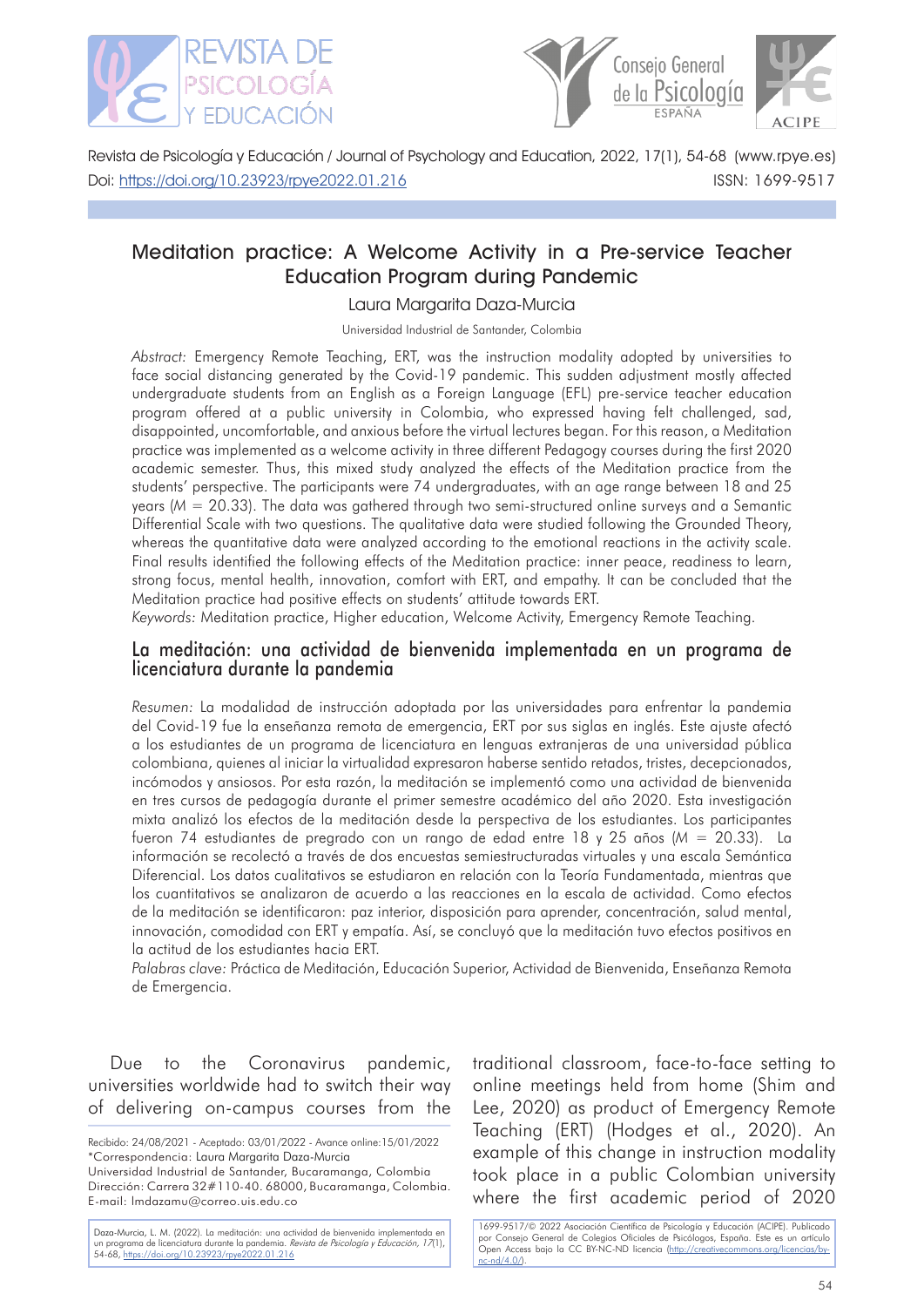

Doi: [https://doi.org/10.23923/rpye2022.01.](https://doi.org/10.23923/rpye2022.01.216)216



 ISSN: 1699-9517 Revista de Psicología y Educación / Journal of Psychology and Education, 2022, 17(1), 54-68 (www.rpye.es)

# Meditation practice: A Welcome Activity in a Pre-service Teacher Education Program during Pandemic

# Laura Margarita Daza-Murcia

Universidad Industrial de Santander, Colombia

*Abstract:* Emergency Remote Teaching, ERT, was the instruction modality adopted by universities to face social distancing generated by the Covid-19 pandemic. This sudden adjustment mostly affected undergraduate students from an English as a Foreign Language (EFL) pre-service teacher education program offered at a public university in Colombia, who expressed having felt challenged, sad, disappointed, uncomfortable, and anxious before the virtual lectures began. For this reason, a Meditation practice was implemented as a welcome activity in three different Pedagogy courses during the first 2020 academic semester. Thus, this mixed study analyzed the effects of the Meditation practice from the students' perspective. The participants were 74 undergraduates, with an age range between 18 and 25 years (*M* = 20.33). The data was gathered through two semi-structured online surveys and a Semantic Differential Scale with two questions. The qualitative data were studied following the Grounded Theory, whereas the quantitative data were analyzed according to the emotional reactions in the activity scale. Final results identified the following effects of the Meditation practice: inner peace, readiness to learn, strong focus, mental health, innovation, comfort with ERT, and empathy. It can be concluded that the Meditation practice had positive effects on students' attitude towards ERT.

*Keywords:* Meditation practice, Higher education, Welcome Activity, Emergency Remote Teaching.

# La meditación: una actividad de bienvenida implementada en un programa de licenciatura durante la pandemia

*Resumen:* La modalidad de instrucción adoptada por las universidades para enfrentar la pandemia del Covid-19 fue la enseñanza remota de emergencia, ERT por sus siglas en inglés. Este ajuste afectó a los estudiantes de un programa de licenciatura en lenguas extranjeras de una universidad pública colombiana, quienes al iniciar la virtualidad expresaron haberse sentido retados, tristes, decepcionados, incómodos y ansiosos. Por esta razón, la meditación se implementó como una actividad de bienvenida en tres cursos de pedagogía durante el primer semestre académico del año 2020. Esta investigación mixta analizó los efectos de la meditación desde la perspectiva de los estudiantes. Los participantes fueron 74 estudiantes de pregrado con un rango de edad entre 18 y 25 años (*M* = 20.33). La información se recolectó a través de dos encuestas semiestructuradas virtuales y una escala Semántica Diferencial. Los datos cualitativos se estudiaron en relación con la Teoría Fundamentada, mientras que los cuantitativos se analizaron de acuerdo a las reacciones en la escala de actividad. Como efectos de la meditación se identificaron: paz interior, disposición para aprender, concentración, salud mental, innovación, comodidad con ERT y empatía. Así, se concluyó que la meditación tuvo efectos positivos en la actitud de los estudiantes hacia ERT.

*Palabras clave:* Práctica de Meditación, Educación Superior, Actividad de Bienvenida, Enseñanza Remota de Emergencia.

Due to the Coronavirus pandemic, universities worldwide had to switch their way of delivering on-campus courses from the

Recibido: 24/08/2021 - Aceptado: 03/01/2022 - Avance online:15/01/2022 \*Correspondencia: Laura Margarita Daza-Murcia Universidad Industrial de Santander, Bucaramanga, Colombia

Dirección: Carrera 32#110-40. 68000, Bucaramanga, Colombia. E-mail: lmdazamu@correo.uis.edu.co

Daza-Murcia, L. M. (2022). La meditación: una actividad de bienvenida implementada en un programa de licenciatura durante la pandemia. Revista de Psicología y Educación, 17(1), 54-68, [https://doi.org/10.23923/rpye2022.01.](https://doi.org/10.23923/rpye2022.01.216)216

traditional classroom, face-to-face setting to online meetings held from home (Shim and Lee, 2020) as product of Emergency Remote Teaching (ERT) (Hodges et al., 2020). An example of this change in instruction modality took place in a public Colombian university where the first academic period of 2020

1699-9517/© 2022 Asociación Científica de Psicología y Educación (ACIPE). Publicado por Consejo General de Colegios Oficiales de Psicólogos, España. Este es un artículo Open Access bajo la CC BY-NC-ND licencia (http://creativecommons.org/licencias/by $nc-nd/4.0/$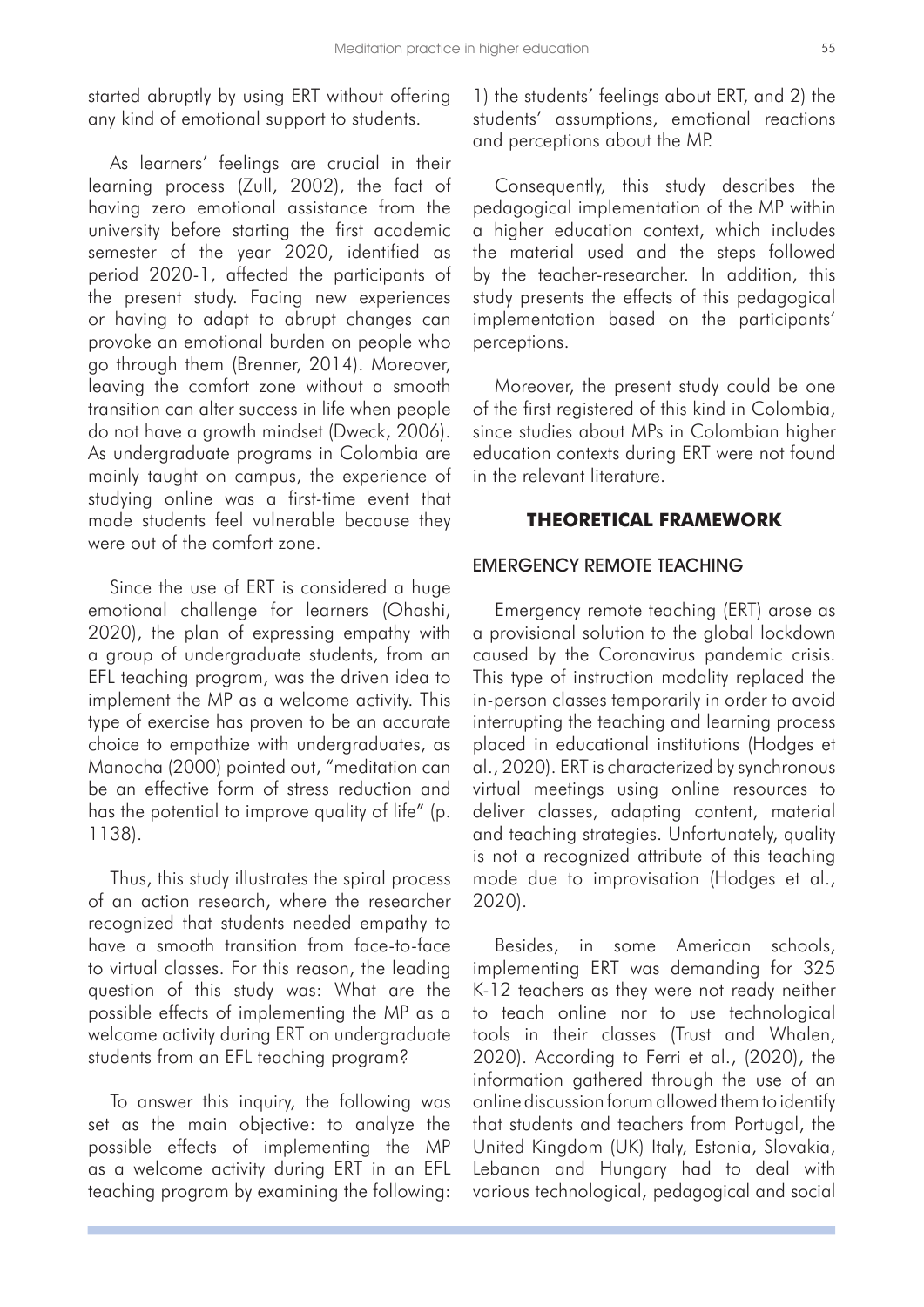started abruptly by using ERT without offering any kind of emotional support to students.

As learners' feelings are crucial in their learning process (Zull, 2002), the fact of having zero emotional assistance from the university before starting the first academic semester of the year 2020, identified as period 2020-1, affected the participants of the present study. Facing new experiences or having to adapt to abrupt changes can provoke an emotional burden on people who go through them (Brenner, 2014). Moreover, leaving the comfort zone without a smooth transition can alter success in life when people do not have a growth mindset (Dweck, 2006). As undergraduate programs in Colombia are mainly taught on campus, the experience of studying online was a first-time event that made students feel vulnerable because they were out of the comfort zone.

Since the use of ERT is considered a huge emotional challenge for learners (Ohashi, 2020), the plan of expressing empathy with a group of undergraduate students, from an EFL teaching program, was the driven idea to implement the MP as a welcome activity. This type of exercise has proven to be an accurate choice to empathize with undergraduates, as Manocha (2000) pointed out, "meditation can be an effective form of stress reduction and has the potential to improve quality of life" (p. 1138).

Thus, this study illustrates the spiral process of an action research, where the researcher recognized that students needed empathy to have a smooth transition from face-to-face to virtual classes. For this reason, the leading question of this study was: What are the possible effects of implementing the MP as a welcome activity during ERT on undergraduate students from an EFL teaching program?

To answer this inquiry, the following was set as the main objective: to analyze the possible effects of implementing the MP as a welcome activity during ERT in an EFL teaching program by examining the following:

1) the students' feelings about ERT, and 2) the students' assumptions, emotional reactions and perceptions about the MP.

Consequently, this study describes the pedagogical implementation of the MP within a higher education context, which includes the material used and the steps followed by the teacher-researcher. In addition, this study presents the effects of this pedagogical implementation based on the participants' perceptions.

Moreover, the present study could be one of the first registered of this kind in Colombia, since studies about MPs in Colombian higher education contexts during ERT were not found in the relevant literature.

# **THEORETICAL FRAMEWORK**

#### EMERGENCY REMOTE TEACHING

Emergency remote teaching (ERT) arose as a provisional solution to the global lockdown caused by the Coronavirus pandemic crisis. This type of instruction modality replaced the in-person classes temporarily in order to avoid interrupting the teaching and learning process placed in educational institutions (Hodges et al., 2020). ERT is characterized by synchronous virtual meetings using online resources to deliver classes, adapting content, material and teaching strategies. Unfortunately, quality is not a recognized attribute of this teaching mode due to improvisation (Hodges et al., 2020).

Besides, in some American schools, implementing ERT was demanding for 325 K-12 teachers as they were not ready neither to teach online nor to use technological tools in their classes (Trust and Whalen, 2020). According to Ferri et al., (2020), the information gathered through the use of an online discussion forum allowed them to identify that students and teachers from Portugal, the United Kingdom (UK) Italy, Estonia, Slovakia, Lebanon and Hungary had to deal with various technological, pedagogical and social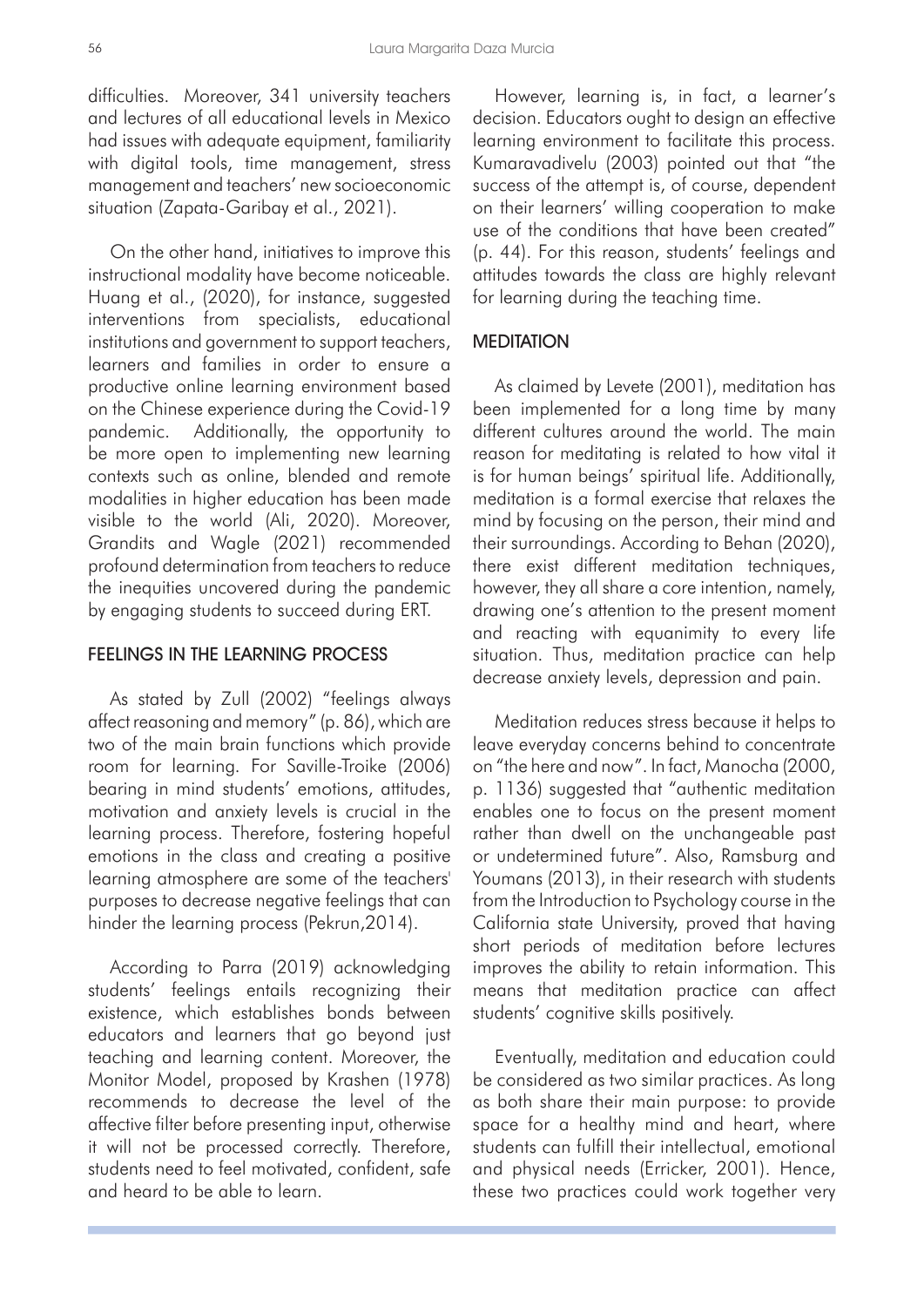difficulties. Moreover, 341 university teachers and lectures of all educational levels in Mexico had issues with adequate equipment, familiarity with digital tools, time management, stress management and teachers' new socioeconomic situation (Zapata-Garibay et al., 2021).

On the other hand, initiatives to improve this instructional modality have become noticeable. Huang et al., (2020), for instance, suggested interventions from specialists, educational institutions and government to support teachers, learners and families in order to ensure a productive online learning environment based on the Chinese experience during the Covid-19 pandemic. Additionally, the opportunity to be more open to implementing new learning contexts such as online, blended and remote modalities in higher education has been made visible to the world (Ali, 2020). Moreover, Grandits and Wagle (2021) recommended profound determination from teachers to reduce the inequities uncovered during the pandemic by engaging students to succeed during ERT.

# FEELINGS IN THE LEARNING PROCESS

As stated by Zull (2002) "feelings always affect reasoning and memory" (p. 86), which are two of the main brain functions which provide room for learning. For Saville-Troike (2006) bearing in mind students' emotions, attitudes, motivation and anxiety levels is crucial in the learning process. Therefore, fostering hopeful emotions in the class and creating a positive learning atmosphere are some of the teachers' purposes to decrease negative feelings that can hinder the learning process (Pekrun,2014).

According to Parra (2019) acknowledging students' feelings entails recognizing their existence, which establishes bonds between educators and learners that go beyond just teaching and learning content. Moreover, the Monitor Model, proposed by Krashen (1978) recommends to decrease the level of the affective filter before presenting input, otherwise it will not be processed correctly. Therefore, students need to feel motivated, confident, safe and heard to be able to learn.

However, learning is, in fact, a learner's decision. Educators ought to design an effective learning environment to facilitate this process. Kumaravadivelu (2003) pointed out that "the success of the attempt is, of course, dependent on their learners' willing cooperation to make use of the conditions that have been created" (p. 44). For this reason, students' feelings and attitudes towards the class are highly relevant for learning during the teaching time.

## **MEDITATION**

As claimed by Levete (2001), meditation has been implemented for a long time by many different cultures around the world. The main reason for meditating is related to how vital it is for human beings' spiritual life. Additionally, meditation is a formal exercise that relaxes the mind by focusing on the person, their mind and their surroundings. According to Behan (2020), there exist different meditation techniques, however, they all share a core intention, namely, drawing one's attention to the present moment and reacting with equanimity to every life situation. Thus, meditation practice can help decrease anxiety levels, depression and pain.

Meditation reduces stress because it helps to leave everyday concerns behind to concentrate on "the here and now". In fact, Manocha (2000, p. 1136) suggested that "authentic meditation enables one to focus on the present moment rather than dwell on the unchangeable past or undetermined future". Also, Ramsburg and Youmans (2013), in their research with students from the Introduction to Psychology course in the California state University, proved that having short periods of meditation before lectures improves the ability to retain information. This means that meditation practice can affect students' cognitive skills positively.

Eventually, meditation and education could be considered as two similar practices. As long as both share their main purpose: to provide space for a healthy mind and heart, where students can fulfill their intellectual, emotional and physical needs (Erricker, 2001). Hence, these two practices could work together very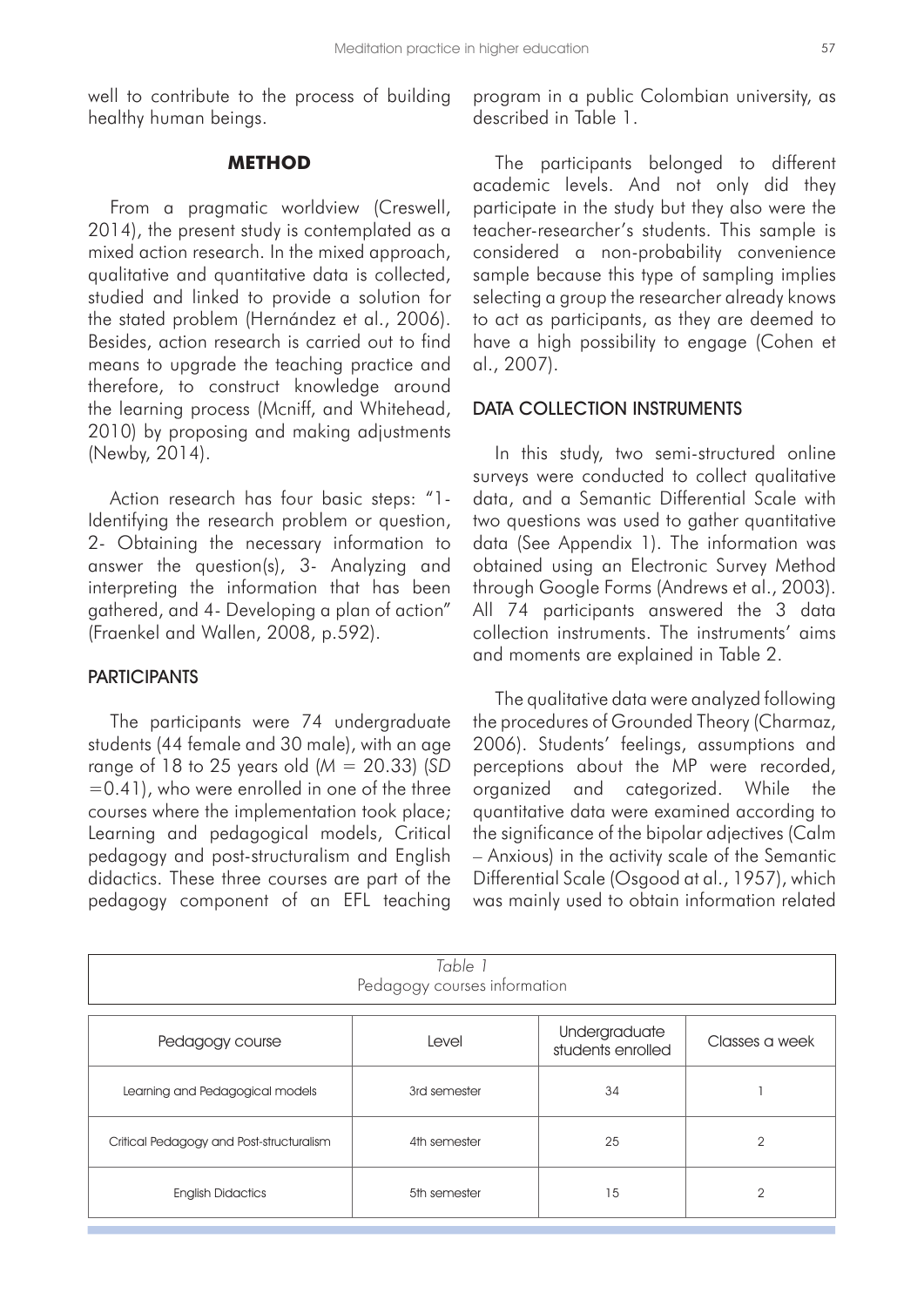well to contribute to the process of building healthy human beings.

## **METHOD**

From a pragmatic worldview (Creswell, 2014), the present study is contemplated as a mixed action research. In the mixed approach, qualitative and quantitative data is collected, studied and linked to provide a solution for the stated problem (Hernández et al., 2006). Besides, action research is carried out to find means to upgrade the teaching practice and therefore, to construct knowledge around the learning process (Mcniff, and Whitehead, 2010) by proposing and making adjustments (Newby, 2014).

Action research has four basic steps: "1- Identifying the research problem or question, 2- Obtaining the necessary information to answer the question(s), 3- Analyzing and interpreting the information that has been gathered, and 4- Developing a plan of action" (Fraenkel and Wallen, 2008, p.592).

## **PARTICIPANTS**

The participants were 74 undergraduate students (44 female and 30 male), with an age range of 18 to 25 years old (*M* = 20.33) (*SD*  =0.41), who were enrolled in one of the three courses where the implementation took place; Learning and pedagogical models, Critical pedagogy and post-structuralism and English didactics. These three courses are part of the pedagogy component of an EFL teaching

program in a public Colombian university, as described in Table 1.

The participants belonged to different academic levels. And not only did they participate in the study but they also were the teacher-researcher's students. This sample is considered a non-probability convenience sample because this type of sampling implies selecting a group the researcher already knows to act as participants, as they are deemed to have a high possibility to engage (Cohen et al., 2007).

#### DATA COLLECTION INSTRUMENTS

In this study, two semi-structured online surveys were conducted to collect qualitative data, and a Semantic Differential Scale with two questions was used to gather quantitative data (See Appendix 1). The information was obtained using an Electronic Survey Method through Google Forms (Andrews et al., 2003). All 74 participants answered the 3 data collection instruments. The instruments' aims and moments are explained in Table 2.

The qualitative data were analyzed following the procedures of Grounded Theory (Charmaz, 2006). Students' feelings, assumptions and perceptions about the MP were recorded, organized and categorized. While the quantitative data were examined according to the significance of the bipolar adjectives (Calm – Anxious) in the activity scale of the Semantic Differential Scale (Osgood at al., 1957), which was mainly used to obtain information related

| Table 1<br>Pedagogy courses information  |              |                                    |                |
|------------------------------------------|--------------|------------------------------------|----------------|
| Pedagogy course                          | Level        | Undergraduate<br>students enrolled | Classes a week |
| Learning and Pedagogical models          | 3rd semester | 34                                 |                |
| Critical Pedagogy and Post-structuralism | 4th semester | 25                                 | $\mathfrak{D}$ |
| <b>English Didactics</b>                 | 5th semester | 15                                 | $\overline{2}$ |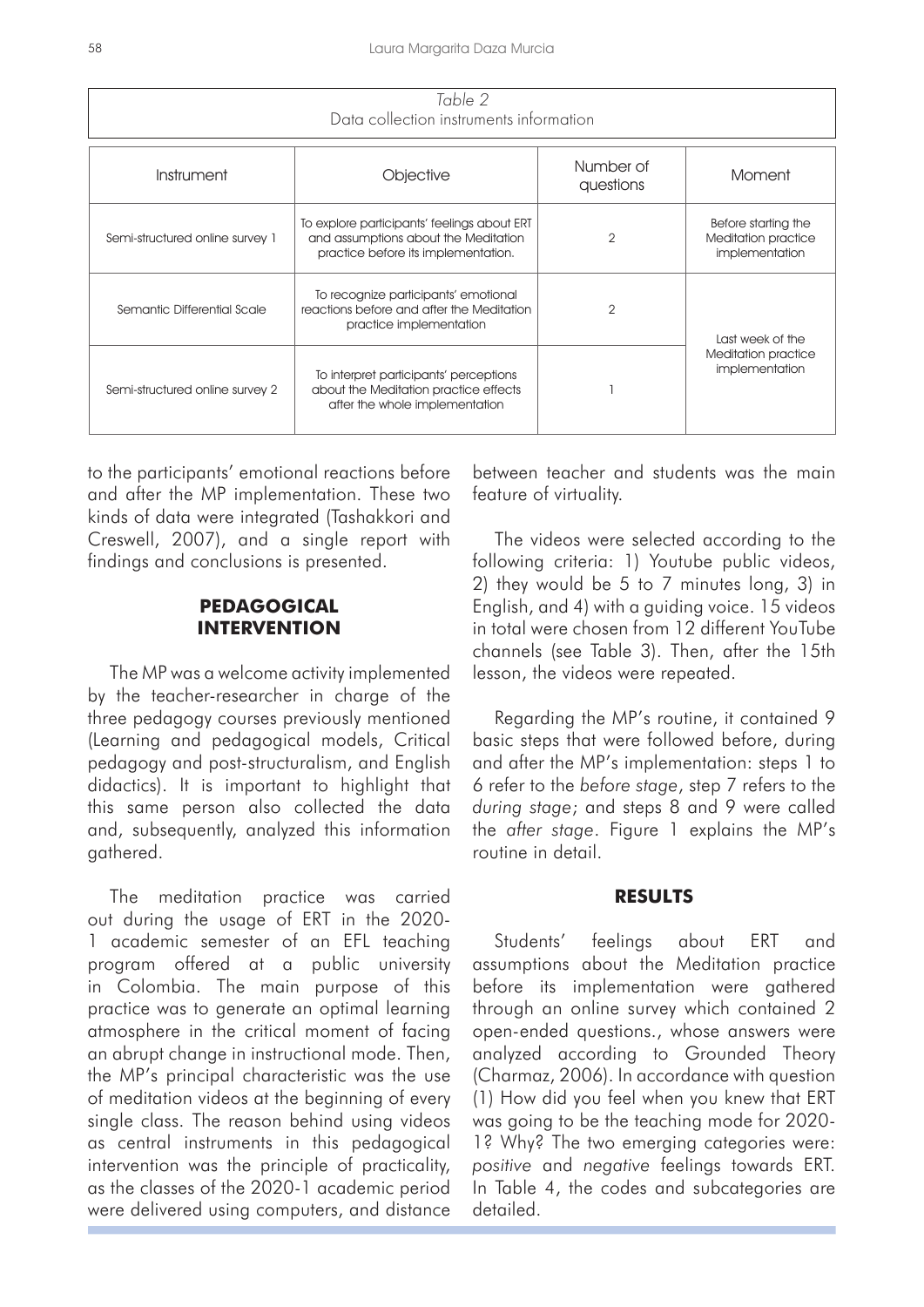| Table 2<br>Data collection instruments information |                                                                                                                            |                        |                                                              |  |
|----------------------------------------------------|----------------------------------------------------------------------------------------------------------------------------|------------------------|--------------------------------------------------------------|--|
| Instrument                                         | Objective                                                                                                                  | Number of<br>questions | Moment                                                       |  |
| Semi-structured online survey 1                    | To explore participants' feelings about ERT<br>and assumptions about the Meditation<br>practice before its implementation. | $\overline{2}$         | Before starting the<br>Meditation practice<br>implementation |  |
| Semantic Differential Scale                        | To recognize participants' emotional<br>reactions before and after the Meditation<br>practice implementation               | $\overline{2}$         | Last week of the                                             |  |
| Semi-structured online survey 2                    | To interpret participants' perceptions<br>about the Meditation practice effects<br>after the whole implementation          |                        | Meditation practice<br>implementation                        |  |

to the participants' emotional reactions before and after the MP implementation. These two kinds of data were integrated (Tashakkori and Creswell, 2007), and a single report with findings and conclusions is presented.

# **PEDAGOGICAL INTERVENTION**

The MP was a welcome activity implemented by the teacher-researcher in charge of the three pedagogy courses previously mentioned (Learning and pedagogical models, Critical pedagogy and post-structuralism, and English didactics). It is important to highlight that this same person also collected the data and, subsequently, analyzed this information gathered.

The meditation practice was carried out during the usage of ERT in the 2020- 1 academic semester of an EFL teaching program offered at a public university in Colombia. The main purpose of this practice was to generate an optimal learning atmosphere in the critical moment of facing an abrupt change in instructional mode. Then, the MP's principal characteristic was the use of meditation videos at the beginning of every single class. The reason behind using videos as central instruments in this pedagogical intervention was the principle of practicality, as the classes of the 2020-1 academic period were delivered using computers, and distance between teacher and students was the main feature of virtuality.

The videos were selected according to the following criteria: 1) Youtube public videos, 2) they would be 5 to 7 minutes long, 3) in English, and 4) with a guiding voice. 15 videos in total were chosen from 12 different YouTube channels (see Table 3). Then, after the 15th lesson, the videos were repeated.

Regarding the MP's routine, it contained 9 basic steps that were followed before, during and after the MP's implementation: steps 1 to 6 refer to the *before stage*, step 7 refers to the *during stage*; and steps 8 and 9 were called the *after stage*. Figure 1 explains the MP's routine in detail.

#### **RESULTS**

Students' feelings about ERT and assumptions about the Meditation practice before its implementation were gathered through an online survey which contained 2 open-ended questions., whose answers were analyzed according to Grounded Theory (Charmaz, 2006). In accordance with question (1) How did you feel when you knew that ERT was going to be the teaching mode for 2020- 1? Why? The two emerging categories were: *positive* and *negative* feelings towards ERT. In Table 4, the codes and subcategories are detailed.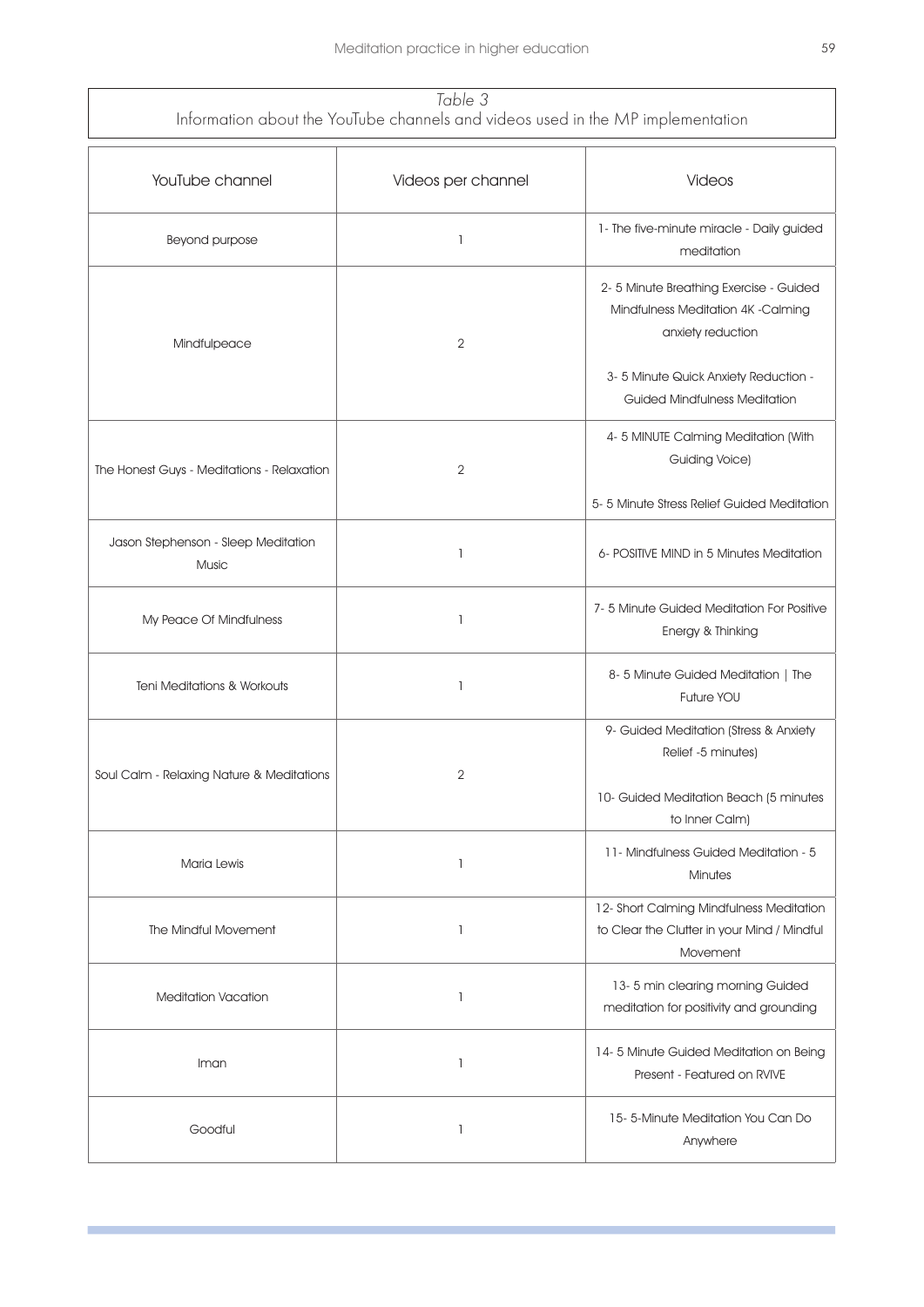| Table 3                                                                         |
|---------------------------------------------------------------------------------|
| Information about the YouTube channels and videos used in the MP implementation |

| YouTube channel                              | Videos per channel                    | Videos                                                                                                                                                                            |
|----------------------------------------------|---------------------------------------|-----------------------------------------------------------------------------------------------------------------------------------------------------------------------------------|
| Beyond purpose                               | 1                                     | 1- The five-minute miracle - Daily guided<br>meditation                                                                                                                           |
| Mindfulpeace                                 | $\overline{2}$                        | 2-5 Minute Breathing Exercise - Guided<br>Mindfulness Meditation 4K -Calming<br>anxiety reduction<br>3-5 Minute Quick Anxiety Reduction -<br><b>Guided Mindfulness Meditation</b> |
| The Honest Guys - Meditations - Relaxation   | $\overline{2}$                        | 4-5 MINUTE Calming Meditation (With<br><b>Guiding Voice)</b><br>5-5 Minute Stress Relief Guided Meditation                                                                        |
| Jason Stephenson - Sleep Meditation<br>Music | $\mathbf{1}$                          | 6- POSITIVE MIND in 5 Minutes Meditation                                                                                                                                          |
| My Peace Of Mindfulness                      | $\mathbf{1}$                          | 7-5 Minute Guided Meditation For Positive<br>Energy & Thinking                                                                                                                    |
| <b>Teni Meditations &amp; Workouts</b>       | $\mathbf{1}$                          | 8-5 Minute Guided Meditation   The<br>Future YOU                                                                                                                                  |
| Soul Calm - Relaxing Nature & Meditations    | $\mathbf{2}$                          | 9- Guided Meditation (Stress & Anxiety<br>Relief -5 minutes)<br>10- Guided Meditation Beach (5 minutes<br>to Inner Calm)                                                          |
| Maria Lewis                                  | $\mathbf{1}$                          | 11- Mindfulness Guided Meditation - 5<br><b>Minutes</b>                                                                                                                           |
| The Mindful Movement                         | $\mathbf{1}$                          | 12- Short Calming Mindfulness Meditation<br>to Clear the Clutter in your Mind / Mindful<br>Movement                                                                               |
| <b>Meditation Vacation</b>                   | $\mathbf{1}$                          | 13-5 min clearing morning Guided<br>meditation for positivity and grounding                                                                                                       |
| Iman                                         | $\mathbf{1}$                          | 14-5 Minute Guided Meditation on Being<br>Present - Featured on RVIVE                                                                                                             |
| Goodful                                      | $\begin{array}{c} \hline \end{array}$ | 15-5-Minute Meditation You Can Do<br>Anywhere                                                                                                                                     |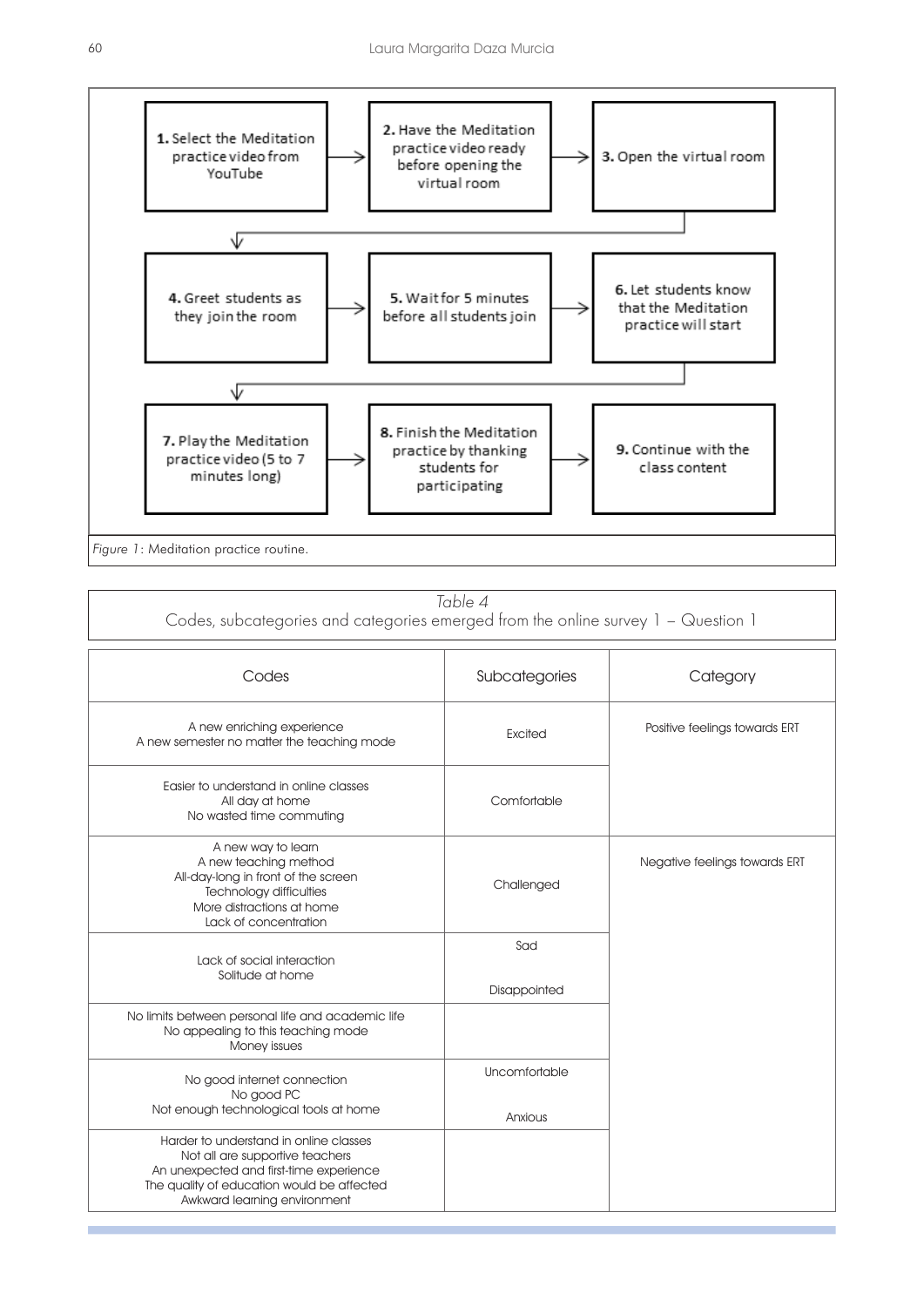

*Table 4*

Codes, subcategories and categories emerged from the online survey 1 – Question 1

| Codes                                                                                                                                                                                              | Subcategories            | Category                      |
|----------------------------------------------------------------------------------------------------------------------------------------------------------------------------------------------------|--------------------------|-------------------------------|
| A new enriching experience<br>A new semester no matter the teaching mode                                                                                                                           | Excited                  | Positive feelings towards ERT |
| Easier to understand in online classes<br>All day at home<br>No wasted time commuting                                                                                                              | Comfortable              |                               |
| A new way to learn<br>A new teaching method<br>All-day-long in front of the screen<br>Technology difficulties<br>More distractions at home<br>Lack of concentration                                | Challenged               | Negative feelings towards ERT |
| Lack of social interaction<br>Solitude at home                                                                                                                                                     | Sad<br>Disappointed      |                               |
| No limits between personal life and academic life<br>No appealing to this teaching mode<br>Money issues                                                                                            |                          |                               |
| No good internet connection<br>No good PC<br>Not enough technological tools at home                                                                                                                | Uncomfortable<br>Anxious |                               |
| Harder to understand in online classes<br>Not all are supportive teachers<br>An unexpected and first-time experience<br>The quality of education would be affected<br>Awkward learning environment |                          |                               |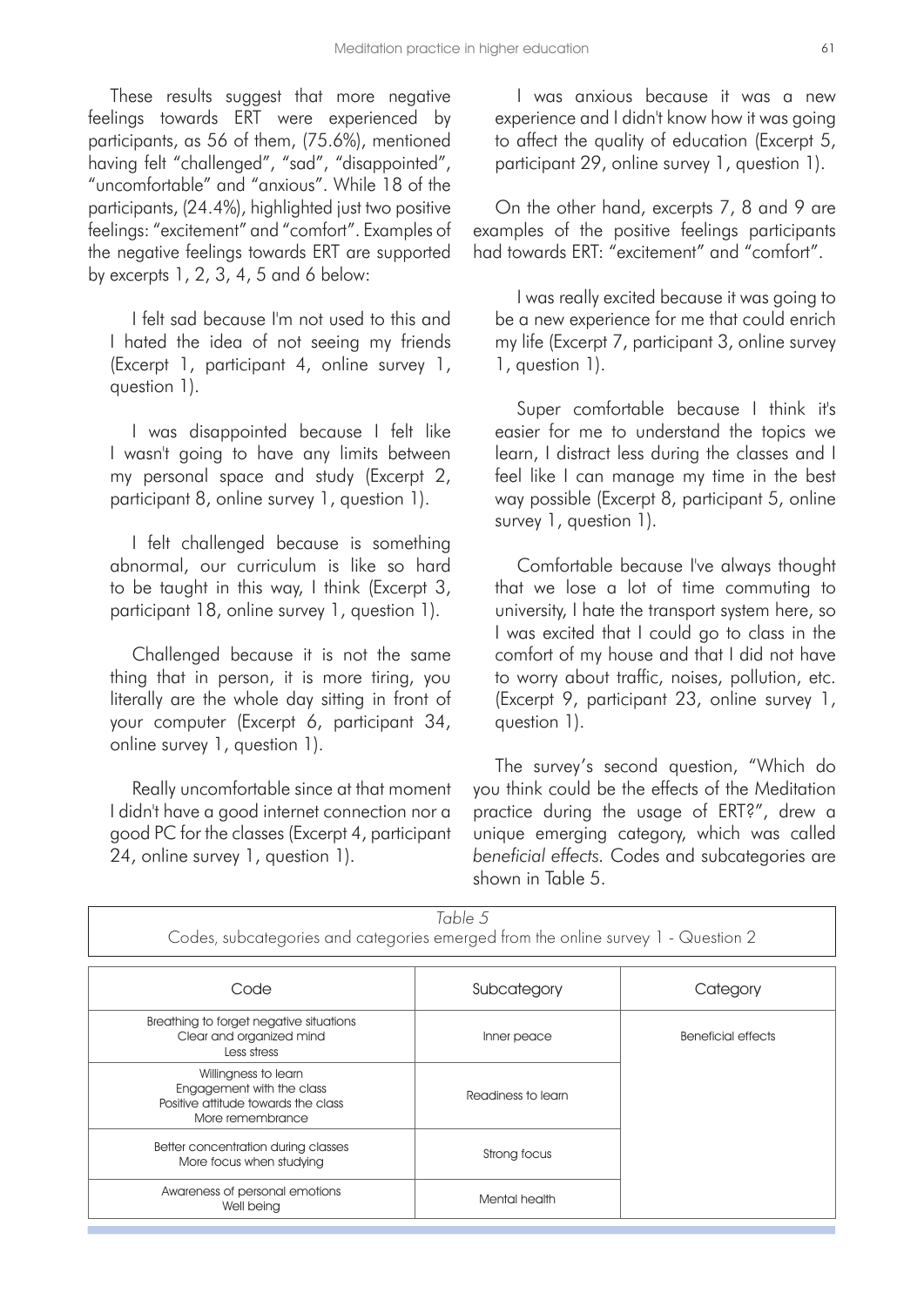These results suggest that more negative feelings towards ERT were experienced by participants, as 56 of them, (75.6%), mentioned having felt "challenged", "sad", "disappointed", "uncomfortable" and "anxious". While 18 of the participants, (24.4%), highlighted just two positive feelings: "excitement" and "comfort". Examples of the negative feelings towards ERT are supported by excerpts 1, 2, 3, 4, 5 and 6 below:

I felt sad because I'm not used to this and I hated the idea of not seeing my friends (Excerpt 1, participant 4, online survey 1, question 1).

I was disappointed because I felt like I wasn't going to have any limits between my personal space and study (Excerpt 2, participant 8, online survey 1, question 1).

I felt challenged because is something abnormal, our curriculum is like so hard to be taught in this way, I think (Excerpt 3, participant 18, online survey 1, question 1).

Challenged because it is not the same thing that in person, it is more tiring, you literally are the whole day sitting in front of your computer (Excerpt 6, participant 34, online survey 1, question 1).

Really uncomfortable since at that moment I didn't have a good internet connection nor a good PC for the classes (Excerpt 4, participant 24, online survey 1, question 1).

I was anxious because it was a new experience and I didn't know how it was going to affect the quality of education (Excerpt 5, participant 29, online survey 1, question 1).

On the other hand, excerpts 7, 8 and 9 are examples of the positive feelings participants had towards ERT: "excitement" and "comfort".

I was really excited because it was going to be a new experience for me that could enrich my life (Excerpt 7, participant 3, online survey 1, question 1).

Super comfortable because I think it's easier for me to understand the topics we learn, I distract less during the classes and I feel like I can manage my time in the best way possible (Excerpt 8, participant 5, online survey 1, question 1).

Comfortable because I've always thought that we lose a lot of time commuting to university, I hate the transport system here, so I was excited that I could go to class in the comfort of my house and that I did not have to worry about traffic, noises, pollution, etc. (Excerpt 9, participant 23, online survey 1, question 1).

The survey's second question, "Which do you think could be the effects of the Meditation practice during the usage of ERT?", drew a unique emerging category, which was called *beneficial effects.* Codes and subcategories are shown in Table 5.

| Codes, subcategories and categories emerged from the online survey 1 - Question 2                            | Table 5            |                    |
|--------------------------------------------------------------------------------------------------------------|--------------------|--------------------|
| Code                                                                                                         | Subcategory        | Category           |
| Breathing to forget negative situations<br>Clear and organized mind<br>Less stress                           | Inner peace        | Beneficial effects |
| Willingness to learn<br>Engagement with the class<br>Positive attitude towards the class<br>More remembrance | Readiness to learn |                    |
| Better concentration during classes<br>More focus when studying                                              | Strong focus       |                    |
| Awareness of personal emotions<br>Well being                                                                 | Mental health      |                    |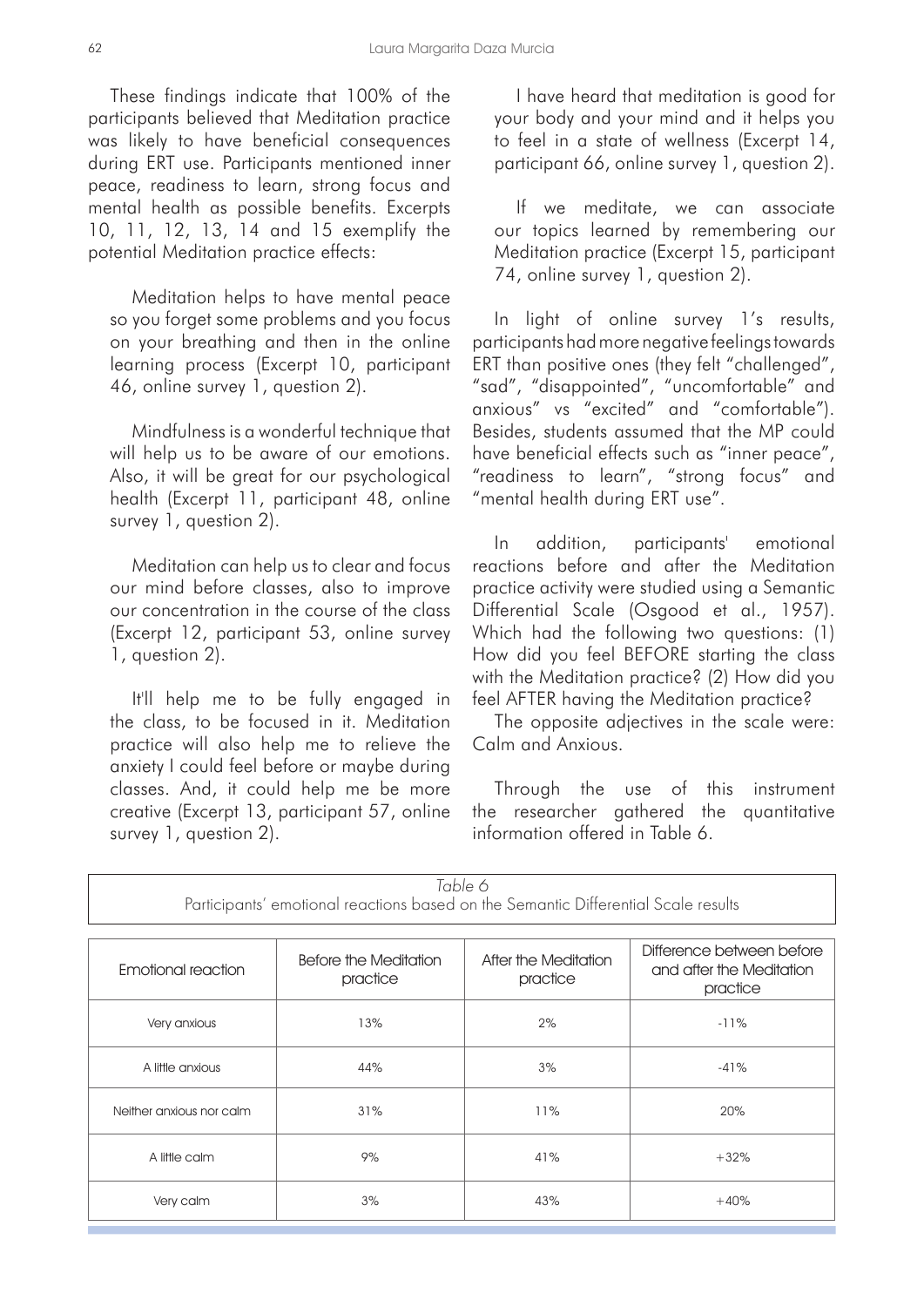These findings indicate that 100% of the participants believed that Meditation practice was likely to have beneficial consequences during ERT use. Participants mentioned inner peace, readiness to learn, strong focus and mental health as possible benefits. Excerpts 10, 11, 12, 13, 14 and 15 exemplify the potential Meditation practice effects:

Meditation helps to have mental peace so you forget some problems and you focus on your breathing and then in the online learning process (Excerpt 10, participant 46, online survey 1, question 2).

Mindfulness is a wonderful technique that will help us to be aware of our emotions. Also, it will be great for our psychological health (Excerpt 11, participant 48, online survey 1, question 2).

Meditation can help us to clear and focus our mind before classes, also to improve our concentration in the course of the class (Excerpt 12, participant 53, online survey 1, question 2).

It'll help me to be fully engaged in the class, to be focused in it. Meditation practice will also help me to relieve the anxiety I could feel before or maybe during classes. And, it could help me be more creative (Excerpt 13, participant 57, online survey 1, question 2).

I have heard that meditation is good for your body and your mind and it helps you to feel in a state of wellness (Excerpt 14, participant 66, online survey 1, question 2).

If we meditate, we can associate our topics learned by remembering our Meditation practice (Excerpt 15, participant 74, online survey 1, question 2).

In light of online survey 1's results, participants had more negative feelings towards ERT than positive ones (they felt "challenged", "sad", "disappointed", "uncomfortable" and anxious" vs "excited" and "comfortable"). Besides, students assumed that the MP could have beneficial effects such as "inner peace", "readiness to learn", "strong focus" and "mental health during ERT use".

In addition, participants' emotional reactions before and after the Meditation practice activity were studied using a Semantic Differential Scale (Osgood et al., 1957). Which had the following two questions: (1) How did you feel BEFORE starting the class with the Meditation practice? (2) How did you feel AFTER having the Meditation practice?

The opposite adjectives in the scale were: Calm and Anxious.

Through the use of this instrument the researcher gathered the quantitative information offered in Table 6.

| Table 6<br>Participants' emotional reactions based on the Semantic Differential Scale results |                                   |                                  |                                                                   |
|-----------------------------------------------------------------------------------------------|-----------------------------------|----------------------------------|-------------------------------------------------------------------|
| Emotional reaction                                                                            | Before the Meditation<br>practice | After the Meditation<br>practice | Difference between before<br>and after the Meditation<br>practice |
| Very anxious                                                                                  | 13%                               | 2%                               | $-11%$                                                            |
| A little anxious                                                                              | 44%                               | 3%                               | $-41%$                                                            |
| Neither anxious nor calm                                                                      | 31%                               | 11%                              | 20%                                                               |
| A little calm                                                                                 | 9%                                | 41%                              | $+32%$                                                            |
| Very calm                                                                                     | 3%                                | 43%                              | $+40%$                                                            |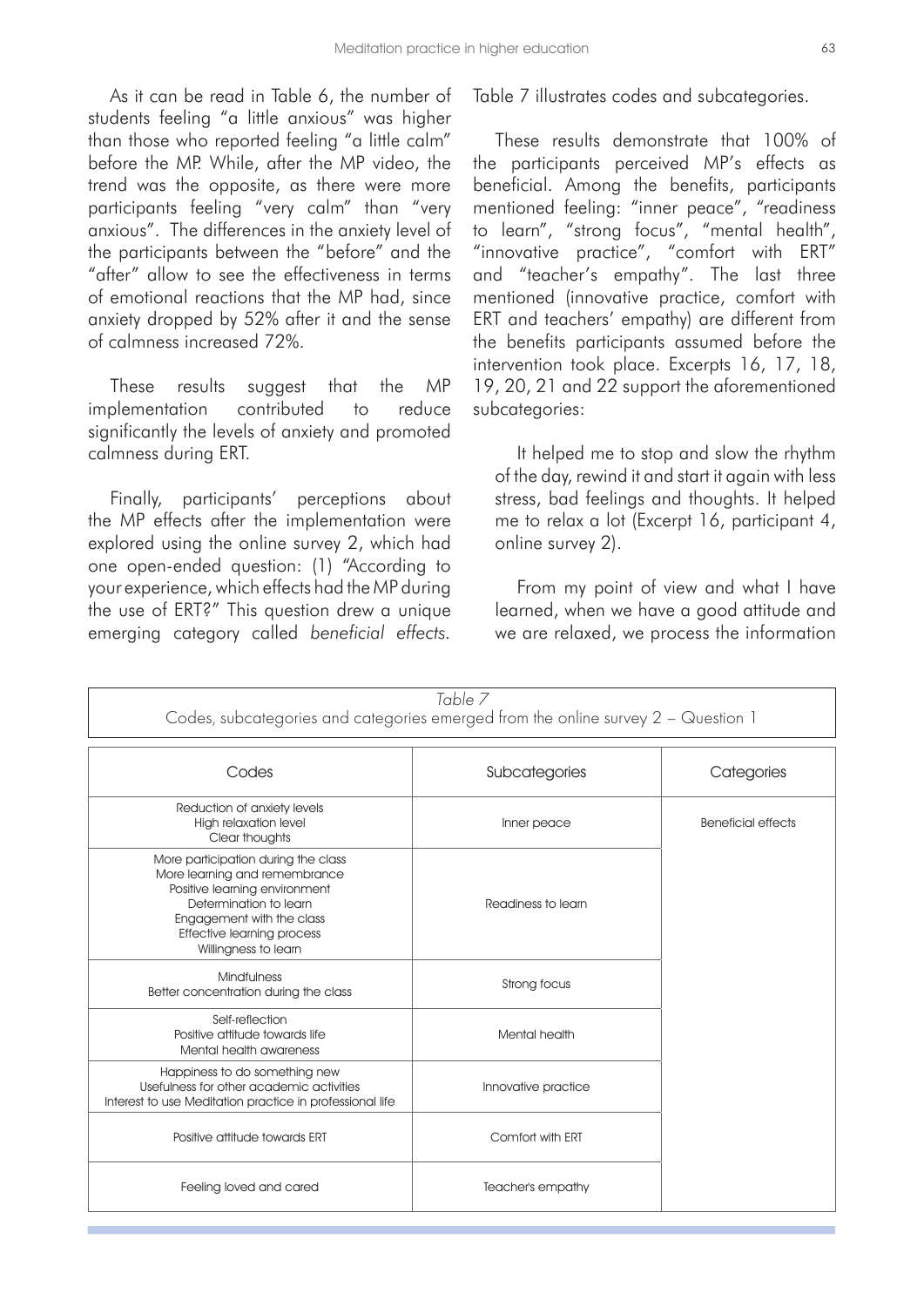As it can be read in Table 6, the number of students feeling "a little anxious" was higher than those who reported feeling "a little calm" before the MP. While, after the MP video, the trend was the opposite, as there were more participants feeling "very calm" than "very anxious". The differences in the anxiety level of the participants between the "before" and the "after" allow to see the effectiveness in terms of emotional reactions that the MP had, since anxiety dropped by 52% after it and the sense of calmness increased 72%.

These results suggest that the MP implementation contributed to reduce significantly the levels of anxiety and promoted calmness during ERT.

Finally, participants' perceptions about the MP effects after the implementation were explored using the online survey 2, which had one open-ended question: (1) "According to your experience, which effects had the MP during the use of ERT?" This question drew a unique emerging category called *beneficial effects.* Table 7 illustrates codes and subcategories.

These results demonstrate that 100% of the participants perceived MP's effects as beneficial. Among the benefits, participants mentioned feeling: "inner peace", "readiness to learn", "strong focus", "mental health", "innovative practice", "comfort with ERT" and "teacher's empathy". The last three mentioned (innovative practice, comfort with ERT and teachers' empathy) are different from the benefits participants assumed before the intervention took place. Excerpts 16, 17, 18, 19, 20, 21 and 22 support the aforementioned subcategories:

It helped me to stop and slow the rhythm of the day, rewind it and start it again with less stress, bad feelings and thoughts. It helped me to relax a lot (Excerpt 16, participant 4, online survey 2).

From my point of view and what I have learned, when we have a good attitude and we are relaxed, we process the information

|                                                                                                                                                                                                                    | Table 7<br>Codes, subcategories and categories emerged from the online survey 2 - Question 1 |                           |
|--------------------------------------------------------------------------------------------------------------------------------------------------------------------------------------------------------------------|----------------------------------------------------------------------------------------------|---------------------------|
| Codes                                                                                                                                                                                                              | Subcategories                                                                                | Categories                |
| Reduction of anxiety levels<br>High relaxation level<br>Clear thoughts                                                                                                                                             | Inner peace                                                                                  | <b>Beneficial effects</b> |
| More participation during the class<br>More learning and remembrance<br>Positive learning environment<br>Determination to learn<br>Engagement with the class<br>Effective learning process<br>Willingness to learn | Readiness to learn                                                                           |                           |
| <b>Mindfulness</b><br>Better concentration during the class                                                                                                                                                        | Strong focus                                                                                 |                           |
| Self-reflection<br>Positive attitude towards life<br>Mental health awareness                                                                                                                                       | Mental health                                                                                |                           |
| Happiness to do something new<br>Usefulness for other academic activities<br>Interest to use Meditation practice in professional life                                                                              | Innovative practice                                                                          |                           |
| Positive attitude towards ERT                                                                                                                                                                                      | Comfort with ERT                                                                             |                           |
| Feeling loved and cared                                                                                                                                                                                            | Teacher's empathy                                                                            |                           |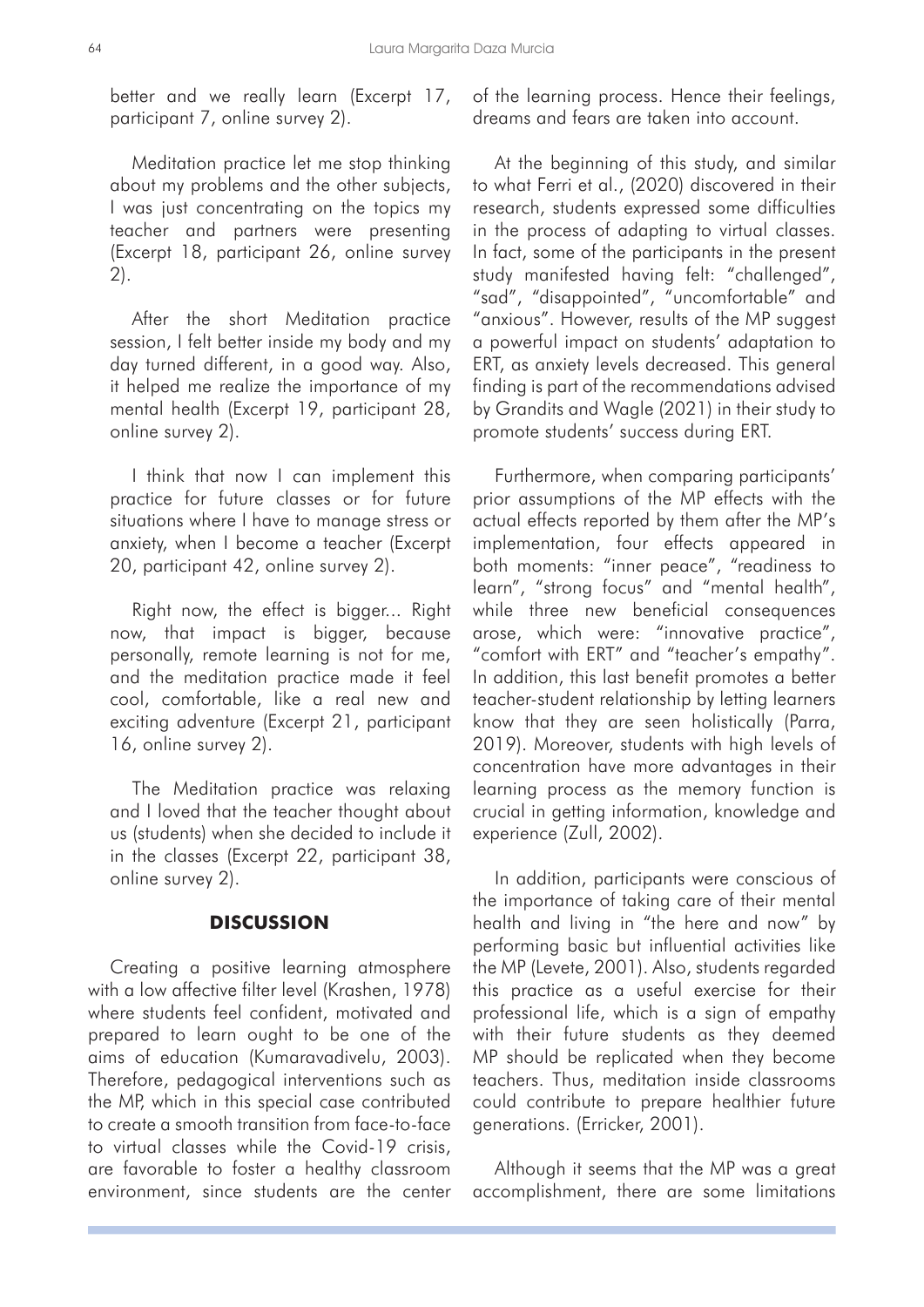better and we really learn (Excerpt 17, participant 7, online survey 2).

Meditation practice let me stop thinking about my problems and the other subjects, I was just concentrating on the topics my teacher and partners were presenting (Excerpt 18, participant 26, online survey 2).

After the short Meditation practice session, I felt better inside my body and my day turned different, in a good way. Also, it helped me realize the importance of my mental health (Excerpt 19, participant 28, online survey 2).

I think that now I can implement this practice for future classes or for future situations where I have to manage stress or anxiety, when I become a teacher (Excerpt 20, participant 42, online survey 2).

Right now, the effect is bigger... Right now, that impact is bigger, because personally, remote learning is not for me, and the meditation practice made it feel cool, comfortable, like a real new and exciting adventure (Excerpt 21, participant 16, online survey 2).

The Meditation practice was relaxing and I loved that the teacher thought about us (students) when she decided to include it in the classes (Excerpt 22, participant 38, online survey 2).

# **DISCUSSION**

Creating a positive learning atmosphere with a low affective filter level (Krashen, 1978) where students feel confident, motivated and prepared to learn ought to be one of the aims of education (Kumaravadivelu, 2003). Therefore, pedagogical interventions such as the MP, which in this special case contributed to create a smooth transition from face-to-face to virtual classes while the Covid-19 crisis, are favorable to foster a healthy classroom environment, since students are the center of the learning process. Hence their feelings, dreams and fears are taken into account.

At the beginning of this study, and similar to what Ferri et al., (2020) discovered in their research, students expressed some difficulties in the process of adapting to virtual classes. In fact, some of the participants in the present study manifested having felt: "challenged", "sad", "disappointed", "uncomfortable" and "anxious". However, results of the MP suggest a powerful impact on students' adaptation to ERT, as anxiety levels decreased. This general finding is part of the recommendations advised by Grandits and Wagle (2021) in their study to promote students' success during ERT.

Furthermore, when comparing participants' prior assumptions of the MP effects with the actual effects reported by them after the MP's implementation, four effects appeared in both moments: "inner peace", "readiness to learn", "strong focus" and "mental health", while three new beneficial consequences arose, which were: "innovative practice", "comfort with ERT" and "teacher's empathy". In addition, this last benefit promotes a better teacher-student relationship by letting learners know that they are seen holistically (Parra, 2019). Moreover, students with high levels of concentration have more advantages in their learning process as the memory function is crucial in getting information, knowledge and experience (Zull, 2002).

In addition, participants were conscious of the importance of taking care of their mental health and living in "the here and now" by performing basic but influential activities like the MP (Levete, 2001). Also, students regarded this practice as a useful exercise for their professional life, which is a sign of empathy with their future students as they deemed MP should be replicated when they become teachers. Thus, meditation inside classrooms could contribute to prepare healthier future generations. (Erricker, 2001).

Although it seems that the MP was a great accomplishment, there are some limitations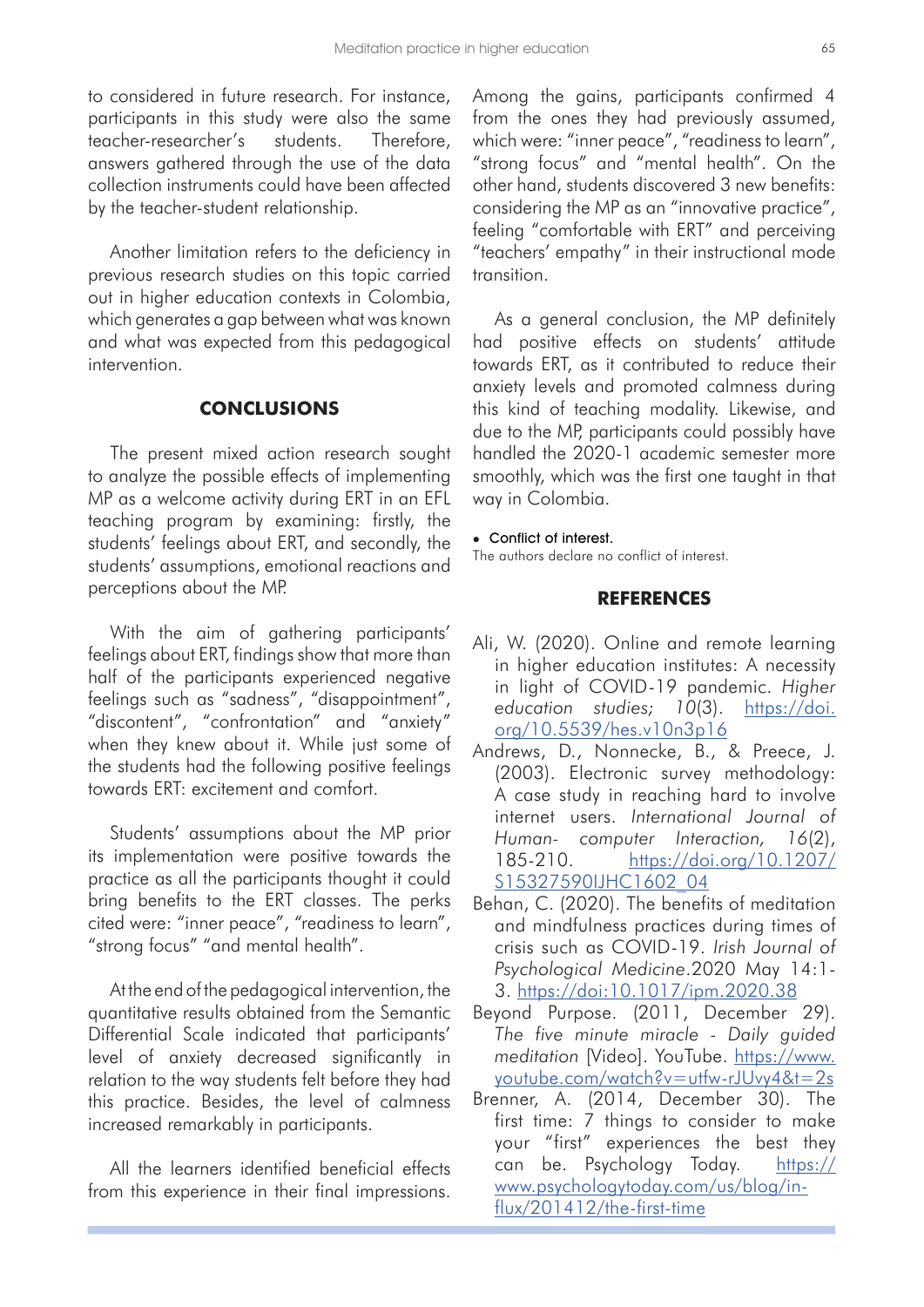to considered in future research. For instance, participants in this study were also the same teacher-researcher's students. Therefore, answers gathered through the use of the data collection instruments could have been affected by the teacher-student relationship.

Another limitation refers to the deficiency in previous research studies on this topic carried out in higher education contexts in Colombia, which generates a gap between what was known and what was expected from this pedagogical intervention.

### **CONCLUSIONS**

The present mixed action research sought to analyze the possible effects of implementing MP as a welcome activity during ERT in an EFL teaching program by examining: firstly, the students' feelings about ERT, and secondly, the students' assumptions, emotional reactions and perceptions about the MP.

With the aim of gathering participants' feelings about ERT, findings show that more than half of the participants experienced negative feelings such as "sadness", "disappointment", "discontent", "confrontation" and "anxiety" when they knew about it. While just some of the students had the following positive feelings towards ERT: excitement and comfort.

Students' assumptions about the MP prior its implementation were positive towards the practice as all the participants thought it could bring benefits to the ERT classes. The perks cited were: "inner peace", "readiness to learn", "strong focus" "and mental health".

At the end of the pedagogical intervention, the quantitative results obtained from the Semantic Differential Scale indicated that participants' level of anxiety decreased significantly in relation to the way students felt before they had this practice. Besides, the level of calmness increased remarkably in participants.

All the learners identified beneficial effects from this experience in their final impressions.

Among the gains, participants confirmed 4 from the ones they had previously assumed, which were: "inner peace", "readiness to learn", "strong focus" and "mental health". On the other hand, students discovered 3 new benefits: considering the MP as an "innovative practice", feeling "comfortable with ERT" and perceiving "teachers' empathy" in their instructional mode transition.

As a general conclusion, the MP definitely had positive effects on students' attitude towards ERT, as it contributed to reduce their anxiety levels and promoted calmness during this kind of teaching modality. Likewise, and due to the MP, participants could possibly have handled the 2020-1 academic semester more smoothly, which was the first one taught in that way in Colombia.

#### **Conflict of interest.**

The authors declare no conflict of interest.

#### **REFERENCES**

- Ali, W. (2020). Online and remote learning in higher education institutes: A necessity in light of COVID-19 pandemic. *Higher education studies; 10*(3). [https://doi.](https://doi.org/10.5539/hes.v10n3p16) [org/10.5539/hes.v10n3p16](https://doi.org/10.5539/hes.v10n3p16)
- Andrews, D., Nonnecke, B., & Preece, J. (2003). Electronic survey methodology: A case study in reaching hard to involve internet users. *International Journal of Human- computer Interaction, 16*(2), 185-210. [https://doi.org/10.1207/](https://doi.org/10.1207/S15327590IJHC1602_04) [S15327590IJHC1602\\_04](https://doi.org/10.1207/S15327590IJHC1602_04)
- Behan, C. (2020). The benefits of meditation and mindfulness practices during times of crisis such as COVID-19. *Irish Journal of Psychological Medicine*.2020 May 14:1- 3.<https://doi:10.1017/ipm.2020.38>
- Beyond Purpose. (2011, December 29). *The five minute miracle - Daily guided meditation* [Video]. YouTube. [https://www.](https://www.youtube.com/watch?v=utfw-rJUvy4&t=2s) [youtube.com/watch?v=utfw-rJUvy4&t=2s](https://www.youtube.com/watch?v=utfw-rJUvy4&t=2s)
- Brenner, A. (2014, December 30). The first time: 7 things to consider to make your "first" experiences the best they can be. Psychology Today. [https://](https://www.psychologytoday.com/us/blog/in-flux/201412/the-first-time) [www.psychologytoday.com/us/blog/in](https://www.psychologytoday.com/us/blog/in-flux/201412/the-first-time)[flux/201412/the-first-time](https://www.psychologytoday.com/us/blog/in-flux/201412/the-first-time)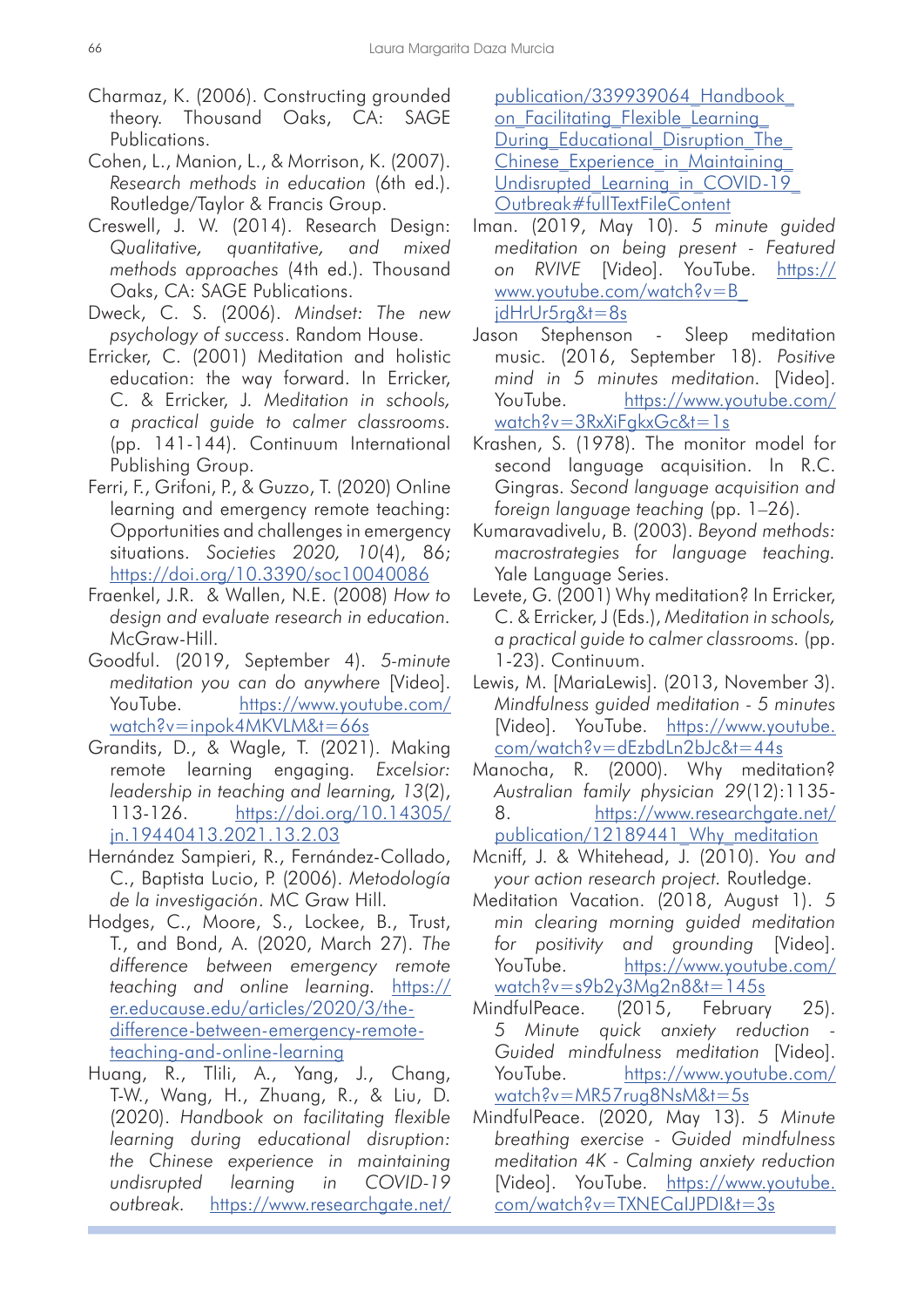- Charmaz, K. (2006). Constructing grounded theory. Thousand Oaks, CA: SAGE Publications.
- Cohen, L., Manion, L., & Morrison, K. (2007). *Research methods in education* (6th ed.). Routledge/Taylor & Francis Group.
- Creswell, J. W. (2014). Research Design: *Qualitative, quantitative, and mixed methods approaches* (4th ed.). Thousand Oaks, CA: SAGE Publications.
- Dweck, C. S. (2006). *Mindset: The new psychology of success*. Random House.
- Erricker, C. (2001) Meditation and holistic education: the way forward. In Erricker, C. & Erricker, J. *Meditation in schools, a practical guide to calmer classrooms.* (pp. 141-144). Continuum International Publishing Group.
- Ferri, F., Grifoni, P., & Guzzo, T. (2020) Online learning and emergency remote teaching: Opportunities and challenges in emergency situations. *Societies 2020, 10*(4), 86; <https://doi.org/10.3390/soc10040086>
- Fraenkel, J.R. & Wallen, N.E. (2008) *How to design and evaluate research in education.* McGraw-Hill.
- Goodful. (2019, September 4). *5-minute meditation you can do anywhere* [Video]. YouTube. [https://www.youtube.com/](https://www.youtube.com/watch?v=inpok4MKVLM&t=66s) [watch?v=inpok4MKVLM&t=66s](https://www.youtube.com/watch?v=inpok4MKVLM&t=66s)
- Grandits, D., & Wagle, T. (2021). Making remote learning engaging. *Excelsior: leadership in teaching and learning, 13*(2), 113-126. [https://doi.org/10.14305/](https://doi.org/10.14305/jn.19440413.2021.13.2.03) [jn.19440413.2021.13.2.03](https://doi.org/10.14305/jn.19440413.2021.13.2.03)
- Hernández Sampieri, R., Fernández-Collado, C., Baptista Lucio, P. (2006). *Metodología de la investigación*. MC Graw Hill.
- Hodges, C., Moore, S., Lockee, B., Trust, T., and Bond, A. (2020, March 27). *The difference between emergency remote teaching and online learning.* [https://](https://er.educause.edu/articles/2020/3/the-difference-between-emergency-remote-teaching-and-online-learning) [er.educause.edu/articles/2020/3/the](https://er.educause.edu/articles/2020/3/the-difference-between-emergency-remote-teaching-and-online-learning)[difference-between-emergency-remote](https://er.educause.edu/articles/2020/3/the-difference-between-emergency-remote-teaching-and-online-learning)[teaching-and-online-learning](https://er.educause.edu/articles/2020/3/the-difference-between-emergency-remote-teaching-and-online-learning)
- Huang, R., Tlili, A., Yang, J., Chang, T-W., Wang, H., Zhuang, R., & Liu, D. (2020). *Handbook on facilitating flexible learning during educational disruption: the Chinese experience in maintaining undisrupted learning in COVID-19 outbreak.* [https://www.researchgate.net/](https://www.researchgate.net/publication/339939064_Handbook_on_Facilitating_Flexible_Learning_During_Educational_Disruption_The_Chinese_Experience_in_Maintaining_Undisrupted_Learning_in_COVID-19_Outbreak#fullTextFileContent)

[publication/339939064\\_Handbook\\_](https://www.researchgate.net/publication/339939064_Handbook_on_Facilitating_Flexible_Learning_During_Educational_Disruption_The_Chinese_Experience_in_Maintaining_Undisrupted_Learning_in_COVID-19_Outbreak#fullTextFileContent) [on\\_Facilitating\\_Flexible\\_Learning\\_](https://www.researchgate.net/publication/339939064_Handbook_on_Facilitating_Flexible_Learning_During_Educational_Disruption_The_Chinese_Experience_in_Maintaining_Undisrupted_Learning_in_COVID-19_Outbreak#fullTextFileContent) During Educational Disruption The Chinese Experience in Maintaining Undisrupted Learning in COVID-19 [Outbreak#fullTextFileContent](https://www.researchgate.net/publication/339939064_Handbook_on_Facilitating_Flexible_Learning_During_Educational_Disruption_The_Chinese_Experience_in_Maintaining_Undisrupted_Learning_in_COVID-19_Outbreak#fullTextFileContent)

- Iman. (2019, May 10). *5 minute guided meditation on being present - Featured on RVIVE* [Video]. YouTube. [https://](https://www.youtube.com/watch?v=B_jdHrUr5rg&t=8s) [www.youtube.com/watch?v=B\\_](https://www.youtube.com/watch?v=B_jdHrUr5rg&t=8s) [jdHrUr5rg&t=8s](https://www.youtube.com/watch?v=B_jdHrUr5rg&t=8s)
- Jason Stephenson Sleep meditation music. (2016, September 18). *Positive mind in 5 minutes meditation.* [Video]. YouTube. [https://www.youtube.com/](https://www.youtube.com/watch?v=3RxXiFgkxGc&t=1s) [watch?v=3RxXiFgkxGc&t=1s](https://www.youtube.com/watch?v=3RxXiFgkxGc&t=1s)
- Krashen, S. (1978). The monitor model for second language acquisition. In R.C. Gingras. *Second language acquisition and foreign language teaching* (pp. 1–26).
- Kumaravadivelu, B. (2003). *Beyond methods: macrostrategies for language teaching.* Yale Language Series.
- Levete, G. (2001) Why meditation? In Erricker, C. & Erricker, J (Eds.), *Meditation in schools, a practical guide to calmer classrooms.* (pp. 1-23). Continuum.
- Lewis, M. [MariaLewis]. (2013, November 3). *Mindfulness guided meditation - 5 minutes* [Video]. YouTube. [https://www.youtube.](https://www.youtube.com/watch?v=dEzbdLn2bJc&t=44s) [com/watch?v=dEzbdLn2bJc&t=44s](https://www.youtube.com/watch?v=dEzbdLn2bJc&t=44s)
- Manocha, R. (2000). Why meditation? *Australian family physician 29*(12):1135- 8. [https://www.researchgate.net/](https://www.researchgate.net/publication/12189441_Why_meditation) publication/12189441 Why meditation
- Mcniff, J. & Whitehead, J. (2010). *You and your action research project.* Routledge.
- Meditation Vacation. (2018, August 1). *5 min clearing morning guided meditation for positivity and grounding* [Video]. YouTube. [https://www.youtube.com/](https://www.youtube.com/watch?v=s9b2y3Mg2n8&t=145s) [watch?v=s9b2y3Mg2n8&t=145s](https://www.youtube.com/watch?v=s9b2y3Mg2n8&t=145s)
- MindfulPeace. (2015, February 25). *5 Minute quick anxiety reduction - Guided mindfulness meditation* [Video]. YouTube. [https://www.youtube.com/](https://www.youtube.com/watch?v=MR57rug8NsM&t=5s) [watch?v=MR57rug8NsM&t=5s](https://www.youtube.com/watch?v=MR57rug8NsM&t=5s)
- MindfulPeace. (2020, May 13). *5 Minute breathing exercise - Guided mindfulness meditation 4K - Calming anxiety reduction* [Video]. YouTube. [https://www.youtube.](https://www.youtube.com/watch?v=TXNECaIJPDI&t=3s
) [com/watch?v=TXNECaIJPDI&t=3s](https://www.youtube.com/watch?v=TXNECaIJPDI&t=3s
)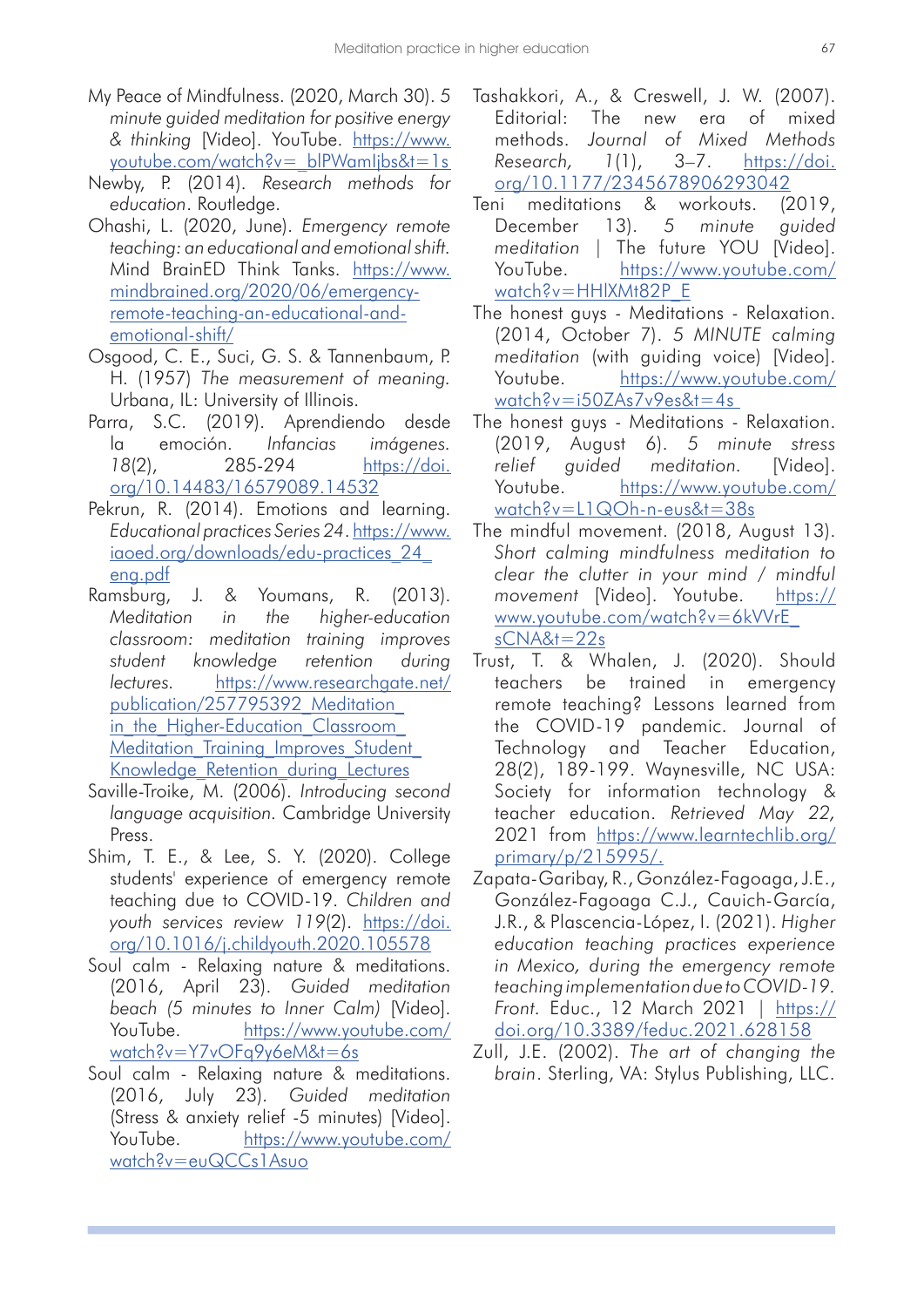- My Peace of Mindfulness. (2020, March 30). *5 minute guided meditation for positive energy & thinking* [Video]. YouTube. [https://www.](https://www.youtube.com/watch?v=_blPWamIjbs&t=1s) youtube.com/watch?v=\_blPWamIjbs&t=1s
- Newby, P. (2014). *Research methods for education*. Routledge.
- Ohashi, L. (2020, June). *Emergency remote teaching: an educational and emotional shift.* Mind BrainED Think Tanks. [https://www.](https://www.mindbrained.org/2020/06/emergency-remote-teaching-an-educational-and-emotional-shift/) [mindbrained.org/2020/06/emergency](https://www.mindbrained.org/2020/06/emergency-remote-teaching-an-educational-and-emotional-shift/)[remote-teaching-an-educational-and](https://www.mindbrained.org/2020/06/emergency-remote-teaching-an-educational-and-emotional-shift/)[emotional-shift/](https://www.mindbrained.org/2020/06/emergency-remote-teaching-an-educational-and-emotional-shift/)
- Osgood, C. E., Suci, G. S. & Tannenbaum, P. H. (1957) *The measurement of meaning.*  Urbana, IL: University of Illinois.
- Parra, S.C. (2019). Aprendiendo desde la emoción. *Infancias imágenes. 18*(2), 285-294 [https://doi.](https://doi.org/10.14483/16579089.14532) [org/10.14483/16579089.14532](https://doi.org/10.14483/16579089.14532)
- Pekrun, R. (2014). Emotions and learning. *Educational practices Series 24*. [https://www.](https://www.iaoed.org/downloads/edu-practices_24_eng.pdf) [iaoed.org/downloads/edu-practices\\_24\\_](https://www.iaoed.org/downloads/edu-practices_24_eng.pdf) [eng.pdf](https://www.iaoed.org/downloads/edu-practices_24_eng.pdf)
- Ramsburg, J. & Youmans, R. (2013). *Meditation in the higher-education classroom: meditation training improves student knowledge retention during lectures.* [https://www.researchgate.net/](https://www.researchgate.net/publication/257795392_Meditation_in_the_Higher-Education_Classroom_Meditation_Training_Improves_Student_Knowledge_Retention_during_Lectures) [publication/257795392\\_Meditation\\_](https://www.researchgate.net/publication/257795392_Meditation_in_the_Higher-Education_Classroom_Meditation_Training_Improves_Student_Knowledge_Retention_during_Lectures) in the Higher-Education Classroom Meditation Training Improves Student Knowledge Retention during Lectures
- Saville-Troike, M. (2006). *Introducing second language acquisition.* Cambridge University Press.
- Shim, T. E., & Lee, S. Y. (2020). College students' experience of emergency remote teaching due to COVID-19. *Children and youth services review 119*(2). [https://doi.](https://doi.org/10.1016/j.childyouth.2020.105578) [org/10.1016/j.childyouth.2020.105578](https://doi.org/10.1016/j.childyouth.2020.105578)
- Soul calm Relaxing nature & meditations. (2016, April 23). *Guided meditation beach (5 minutes to Inner Calm)* [Video]. YouTube. [https://www.youtube.com/](https://www.youtube.com/watch?v=Y7vOFq9y6eM&t=6s) [watch?v=Y7vOFq9y6eM&t=6s](https://www.youtube.com/watch?v=Y7vOFq9y6eM&t=6s)
- Soul calm Relaxing nature & meditations. (2016, July 23). *Guided meditation*  (Stress & anxiety relief -5 minutes) [Video]. YouTube. [https://www.youtube.com/](https://www.youtube.com/watch?v=euQCCs1Asuo) [watch?v=euQCCs1Asuo](https://www.youtube.com/watch?v=euQCCs1Asuo)
- Tashakkori, A., & Creswell, J. W. (2007). Editorial: The new era of mixed methods. *Journal of Mixed Methods Research, 1*(1), 3–7. [https://doi.](https://doi.org/10.1177/2345678906293042) [org/10.1177/2345678906293042](https://doi.org/10.1177/2345678906293042)
- Teni meditations & workouts. (2019, December 13). *5 minute guided meditation* | The future YOU [Video]. YouTube. [https://www.youtube.com/](https://www.youtube.com/watch?v=HHlXMt82P_E) [watch?v=HHlXMt82P\\_E](https://www.youtube.com/watch?v=HHlXMt82P_E)
- The honest guys Meditations Relaxation. (2014, October 7). *5 MINUTE calming meditation* (with guiding voice) [Video]. Youtube. [https://www.youtube.com/](https://www.youtube.com/watch?v=i50ZAs7v9es&t=4s) [watch?v=i50ZAs7v9es&t=4s](https://www.youtube.com/watch?v=i50ZAs7v9es&t=4s)
- The honest guys Meditations Relaxation. (2019, August 6). *5 minute stress relief guided meditation.* [Video]. Youtube. [https://www.youtube.com/](https://www.youtube.com/watch?v=L1QOh-n-eus&t=38s) [watch?v=L1QOh-n-eus&t=38s](https://www.youtube.com/watch?v=L1QOh-n-eus&t=38s)
- The mindful movement. (2018, August 13). *Short calming mindfulness meditation to clear the clutter in your mind / mindful movement* [Video]. Youtube. [https://](https://www.youtube.com/watch?v=6kVVrE_sCNA&t=22s) [www.youtube.com/watch?v=6kVVrE\\_](https://www.youtube.com/watch?v=6kVVrE_sCNA&t=22s) [sCNA&t=22s](https://www.youtube.com/watch?v=6kVVrE_sCNA&t=22s)
- Trust, T. & Whalen, J. (2020). Should teachers be trained in emergency remote teaching? Lessons learned from the COVID-19 pandemic. Journal of Technology and Teacher Education, 28(2), 189-199. Waynesville, NC USA: Society for information technology & teacher education. *Retrieved May 22,* 2021 from [https://www.learntechlib.org/](https://www.learntechlib.org/primary/p/215995/.) [primary/p/215995/.](https://www.learntechlib.org/primary/p/215995/.)
- Zapata-Garibay, R., González-Fagoaga, J.E., González-Fagoaga C.J., Cauich-García, J.R., & Plascencia-López, I. (2021). *Higher education teaching practices experience in Mexico, during the emergency remote teaching implementation due to COVID-19. Front.* Educ., 12 March 2021 | [https://](https://doi.org/10.3389/feduc.2021.628158) [doi.org/10.3389/feduc.2021.628158](https://doi.org/10.3389/feduc.2021.628158)
- Zull, J.E. (2002). *The art of changing the brain*. Sterling, VA: Stylus Publishing, LLC.